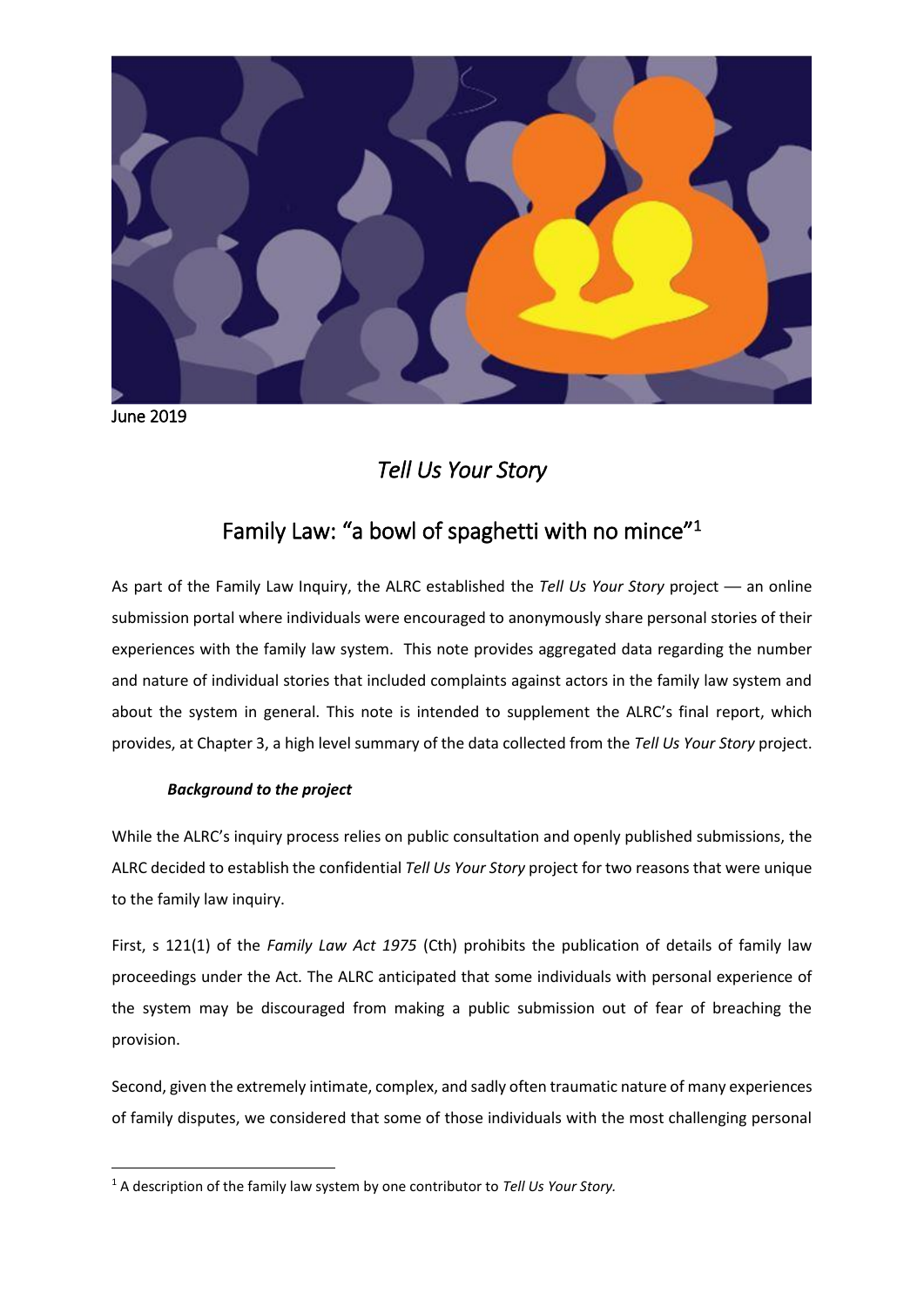

June 2019

**.** 

# *Tell Us Your Story*

## Family Law: "a bowl of spaghetti with no mince"<sup>1</sup>

As part of the Family Law Inquiry, the ALRC established the *Tell Us Your Story* project — an online submission portal where individuals were encouraged to anonymously share personal stories of their experiences with the family law system. This note provides aggregated data regarding the number and nature of individual stories that included complaints against actors in the family law system and about the system in general. This note is intended to supplement the ALRC's final report, which provides, at Chapter 3, a high level summary of the data collected from the *Tell Us Your Story* project.

## *Background to the project*

While the ALRC's inquiry process relies on public consultation and openly published submissions, the ALRC decided to establish the confidential *Tell Us Your Story* project for two reasons that were unique to the family law inquiry.

First, s 121(1) of the *Family Law Act 1975* (Cth) prohibits the publication of details of family law proceedings under the Act. The ALRC anticipated that some individuals with personal experience of the system may be discouraged from making a public submission out of fear of breaching the provision.

Second, given the extremely intimate, complex, and sadly often traumatic nature of many experiences of family disputes, we considered that some of those individuals with the most challenging personal

<sup>1</sup> A description of the family law system by one contributor to *Tell Us Your Story.*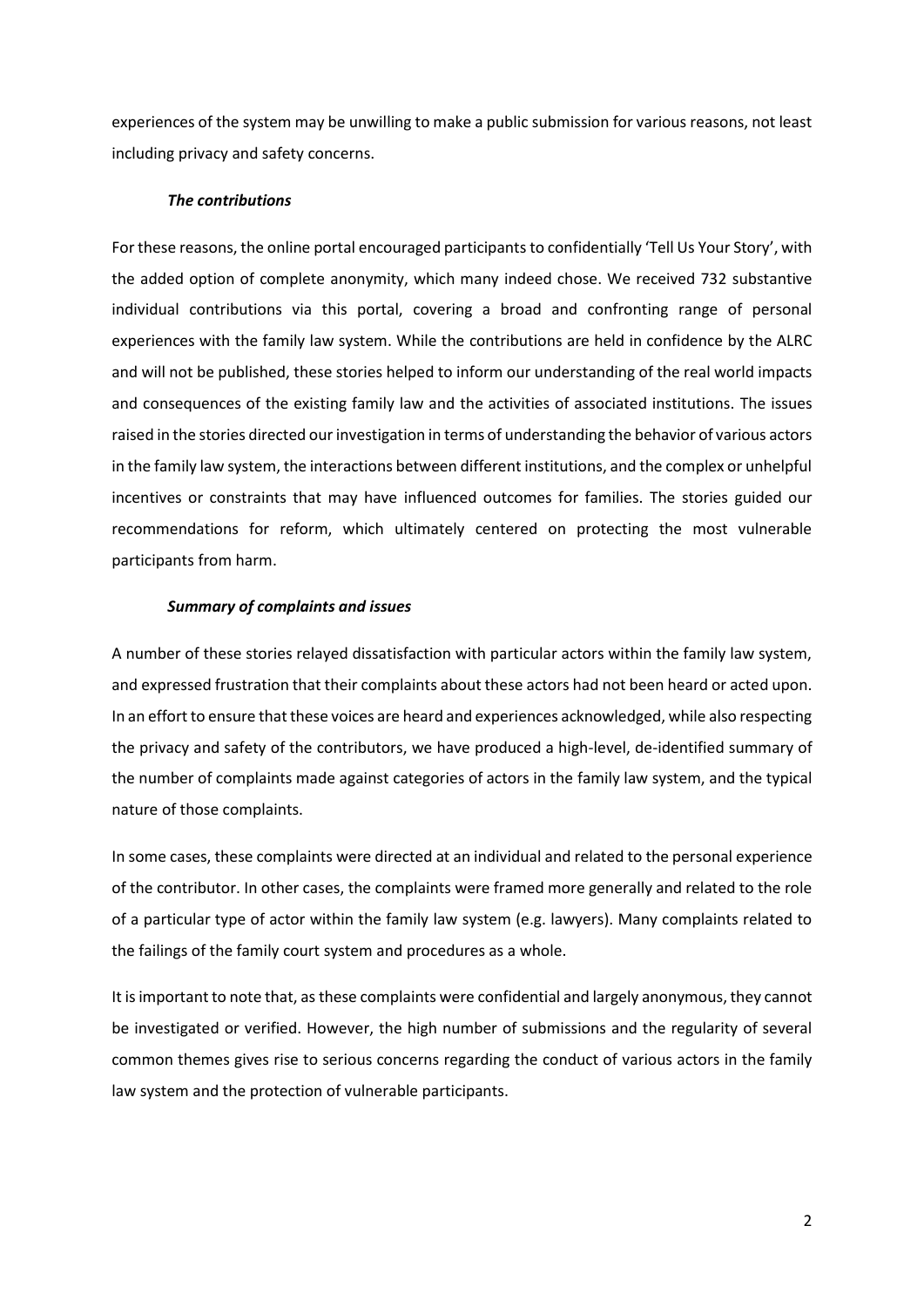experiences of the system may be unwilling to make a public submission for various reasons, not least including privacy and safety concerns.

#### *The contributions*

For these reasons, the online portal encouraged participants to confidentially 'Tell Us Your Story', with the added option of complete anonymity, which many indeed chose. We received 732 substantive individual contributions via this portal, covering a broad and confronting range of personal experiences with the family law system. While the contributions are held in confidence by the ALRC and will not be published, these stories helped to inform our understanding of the real world impacts and consequences of the existing family law and the activities of associated institutions. The issues raised in the stories directed our investigation in terms of understanding the behavior of various actors in the family law system, the interactions between different institutions, and the complex or unhelpful incentives or constraints that may have influenced outcomes for families. The stories guided our recommendations for reform, which ultimately centered on protecting the most vulnerable participants from harm.

### *Summary of complaints and issues*

A number of these stories relayed dissatisfaction with particular actors within the family law system, and expressed frustration that their complaints about these actors had not been heard or acted upon. In an effort to ensure that these voices are heard and experiences acknowledged, while also respecting the privacy and safety of the contributors, we have produced a high-level, de-identified summary of the number of complaints made against categories of actors in the family law system, and the typical nature of those complaints.

In some cases, these complaints were directed at an individual and related to the personal experience of the contributor. In other cases, the complaints were framed more generally and related to the role of a particular type of actor within the family law system (e.g. lawyers). Many complaints related to the failings of the family court system and procedures as a whole.

It is important to note that, as these complaints were confidential and largely anonymous, they cannot be investigated or verified. However, the high number of submissions and the regularity of several common themes gives rise to serious concerns regarding the conduct of various actors in the family law system and the protection of vulnerable participants.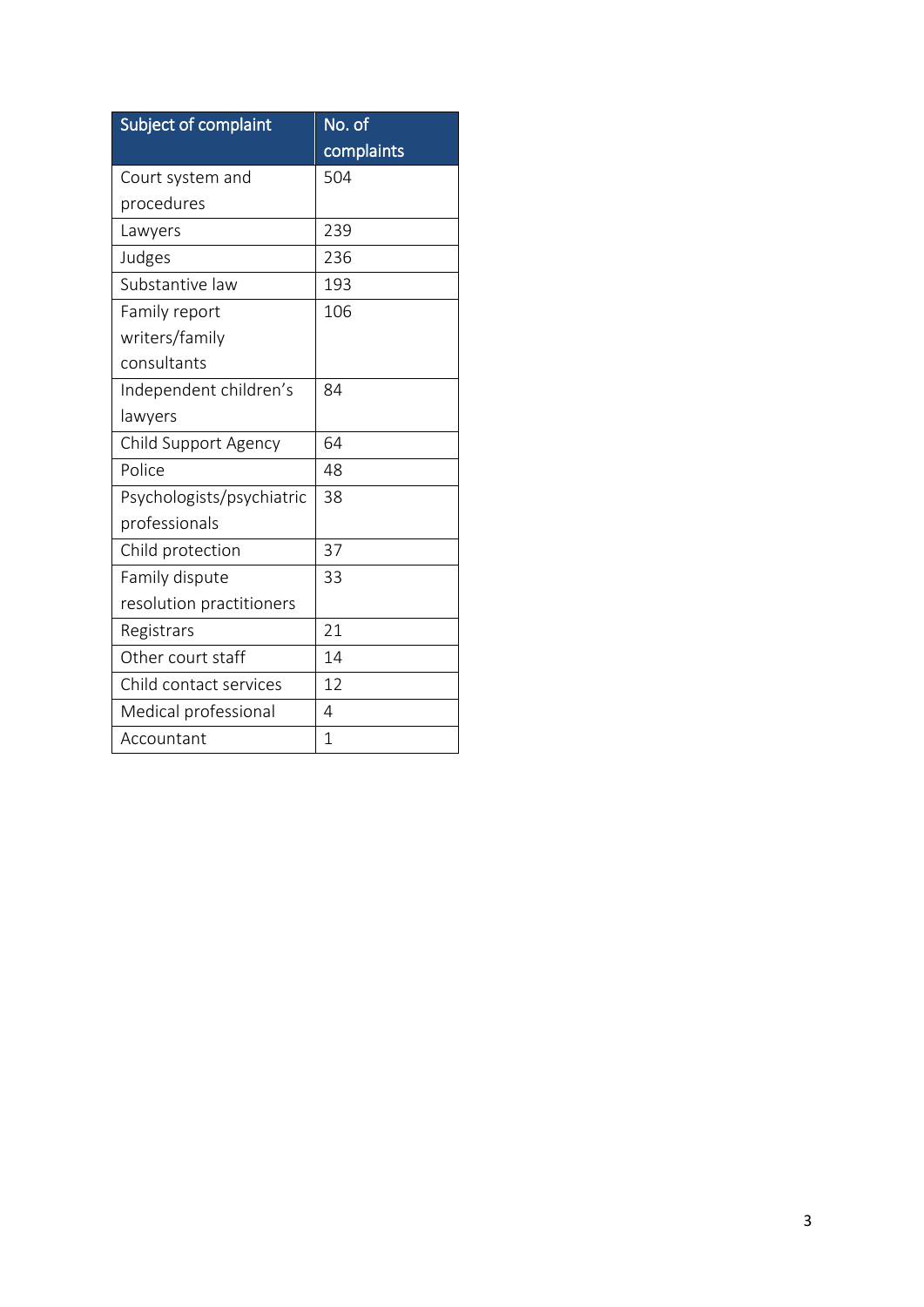| Subject of complaint      | No. of         |
|---------------------------|----------------|
|                           | complaints     |
| Court system and          | 504            |
| procedures                |                |
| Lawyers                   | 239            |
| Judges                    | 236            |
| Substantive law           | 193            |
| Family report             | 106            |
| writers/family            |                |
| consultants               |                |
| Independent children's    | 84             |
| lawyers                   |                |
| Child Support Agency      | 64             |
| Police                    | 48             |
| Psychologists/psychiatric | 38             |
| professionals             |                |
| Child protection          | 37             |
| Family dispute            | 33             |
| resolution practitioners  |                |
| Registrars                | 21             |
| Other court staff         | 14             |
| Child contact services    | 12             |
| Medical professional      | 4              |
| Accountant                | $\overline{1}$ |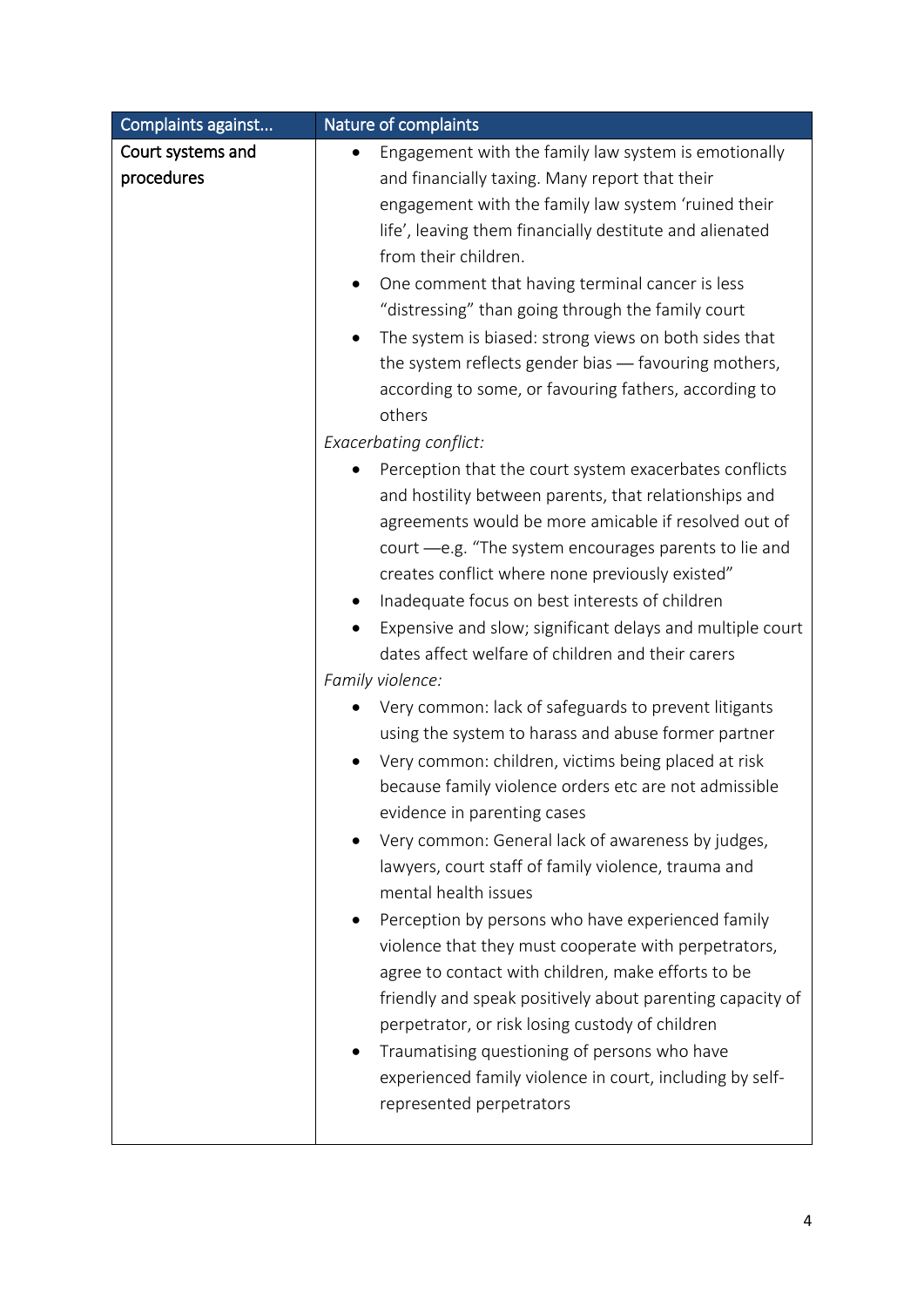| Court systems and<br>Engagement with the family law system is emotionally<br>procedures<br>and financially taxing. Many report that their<br>engagement with the family law system 'ruined their<br>life', leaving them financially destitute and alienated<br>from their children.<br>One comment that having terminal cancer is less<br>$\bullet$<br>"distressing" than going through the family court                                                                                                                                                                                                                                                                                                                                                                                                                                                                                                                                                                                                                                                                                                                                                                                                                                                                                                                                                                                                         | Complaints against | Nature of complaints                                                                                                   |
|------------------------------------------------------------------------------------------------------------------------------------------------------------------------------------------------------------------------------------------------------------------------------------------------------------------------------------------------------------------------------------------------------------------------------------------------------------------------------------------------------------------------------------------------------------------------------------------------------------------------------------------------------------------------------------------------------------------------------------------------------------------------------------------------------------------------------------------------------------------------------------------------------------------------------------------------------------------------------------------------------------------------------------------------------------------------------------------------------------------------------------------------------------------------------------------------------------------------------------------------------------------------------------------------------------------------------------------------------------------------------------------------------------------|--------------------|------------------------------------------------------------------------------------------------------------------------|
| The system is biased: strong views on both sides that<br>the system reflects gender bias - favouring mothers,<br>according to some, or favouring fathers, according to<br>others<br><b>Exacerbating conflict:</b><br>Perception that the court system exacerbates conflicts<br>and hostility between parents, that relationships and<br>agreements would be more amicable if resolved out of<br>court -e.g. "The system encourages parents to lie and<br>creates conflict where none previously existed"<br>Inadequate focus on best interests of children<br>dates affect welfare of children and their carers<br>Family violence:<br>Very common: lack of safeguards to prevent litigants<br>using the system to harass and abuse former partner<br>Very common: children, victims being placed at risk<br>$\bullet$<br>because family violence orders etc are not admissible<br>evidence in parenting cases<br>Very common: General lack of awareness by judges,<br>lawyers, court staff of family violence, trauma and<br>mental health issues<br>Perception by persons who have experienced family<br>violence that they must cooperate with perpetrators,<br>agree to contact with children, make efforts to be<br>perpetrator, or risk losing custody of children<br>Traumatising questioning of persons who have<br>experienced family violence in court, including by self-<br>represented perpetrators |                    | Expensive and slow; significant delays and multiple court<br>friendly and speak positively about parenting capacity of |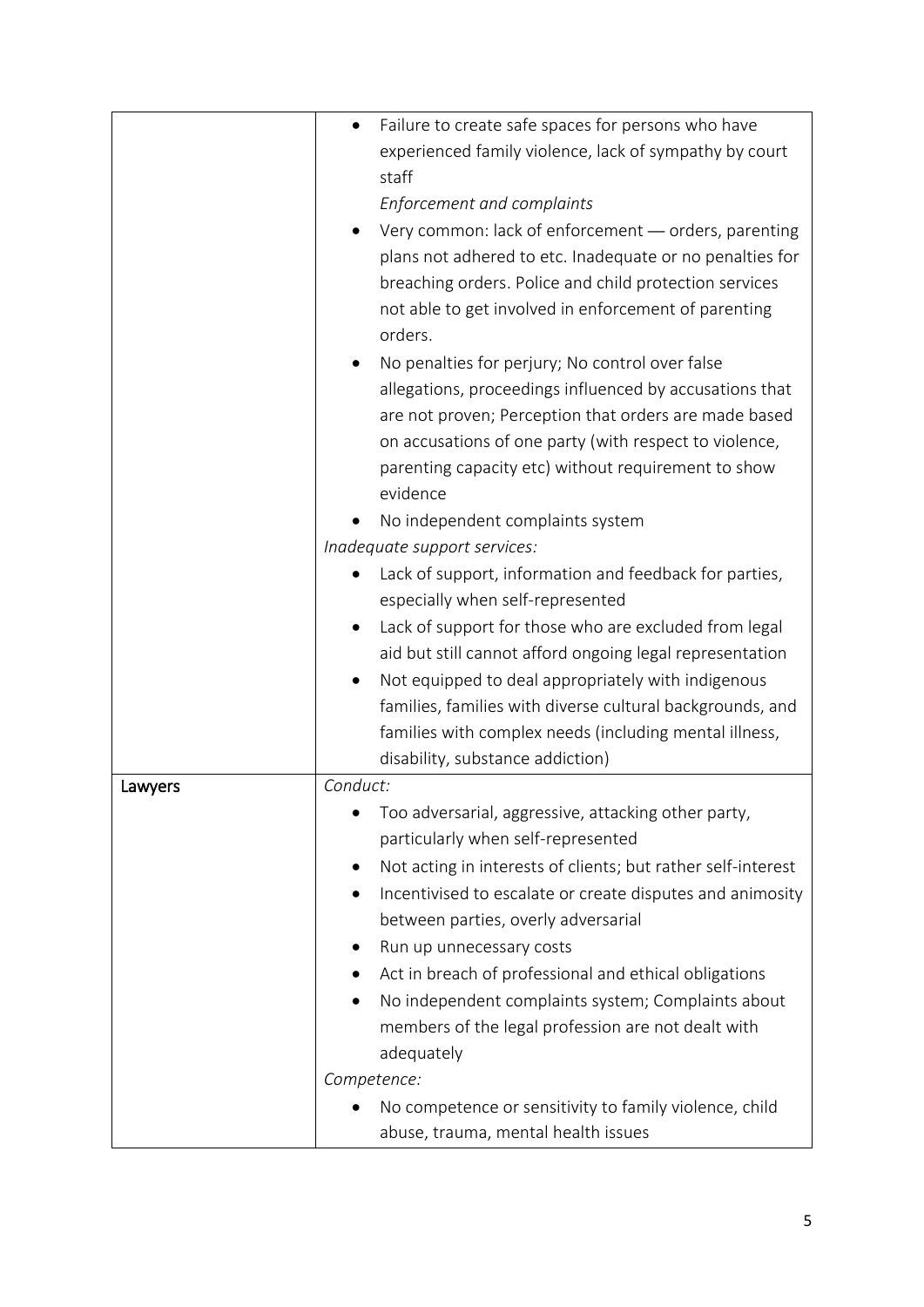| Failure to create safe spaces for persons who have<br>$\bullet$ |
|-----------------------------------------------------------------|
| experienced family violence, lack of sympathy by court          |
| staff                                                           |
| Enforcement and complaints                                      |
| Very common: lack of enforcement - orders, parenting            |
| plans not adhered to etc. Inadequate or no penalties for        |
| breaching orders. Police and child protection services          |
| not able to get involved in enforcement of parenting            |
| orders.                                                         |
| No penalties for perjury; No control over false                 |
| allegations, proceedings influenced by accusations that         |
| are not proven; Perception that orders are made based           |
| on accusations of one party (with respect to violence,          |
| parenting capacity etc) without requirement to show             |
| evidence                                                        |
| No independent complaints system                                |
| Inadequate support services:                                    |
| Lack of support, information and feedback for parties,          |
| especially when self-represented                                |
| Lack of support for those who are excluded from legal           |
| aid but still cannot afford ongoing legal representation        |
| Not equipped to deal appropriately with indigenous              |
| families, families with diverse cultural backgrounds, and       |
| families with complex needs (including mental illness,          |
| disability, substance addiction)                                |
| Conduct:                                                        |
|                                                                 |
| Too adversarial, aggressive, attacking other party,             |
| particularly when self-represented                              |
| Not acting in interests of clients; but rather self-interest    |
| Incentivised to escalate or create disputes and animosity       |
| between parties, overly adversarial                             |
| Run up unnecessary costs                                        |
| Act in breach of professional and ethical obligations           |
| No independent complaints system; Complaints about              |
| members of the legal profession are not dealt with              |
| adequately                                                      |
| Competence:                                                     |
| No competence or sensitivity to family violence, child          |
| abuse, trauma, mental health issues                             |
|                                                                 |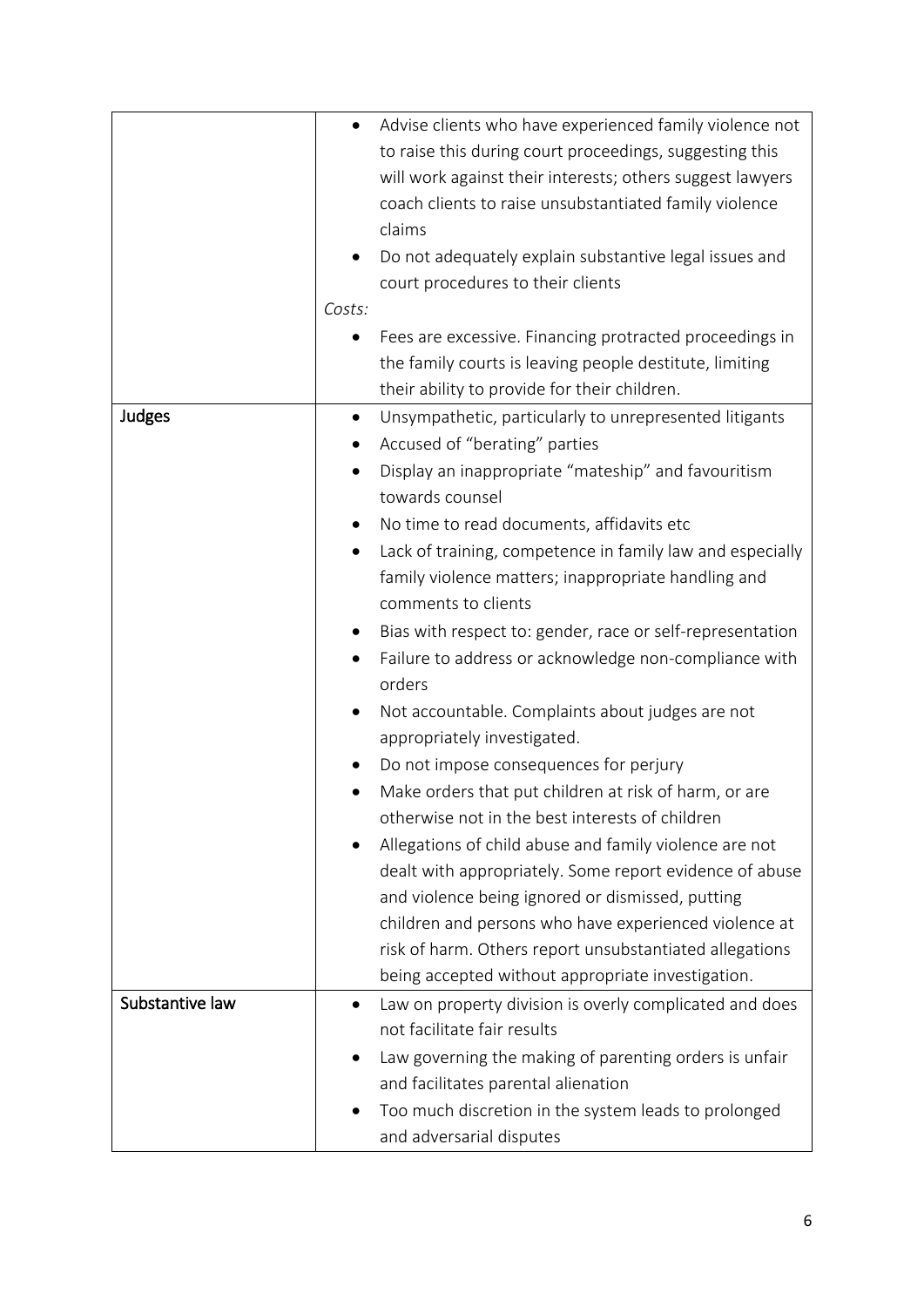|                 | Advise clients who have experienced family violence not<br>$\bullet$   |
|-----------------|------------------------------------------------------------------------|
|                 | to raise this during court proceedings, suggesting this                |
|                 | will work against their interests; others suggest lawyers              |
|                 | coach clients to raise unsubstantiated family violence                 |
|                 | claims                                                                 |
|                 |                                                                        |
|                 | Do not adequately explain substantive legal issues and                 |
|                 | court procedures to their clients                                      |
|                 | Costs:                                                                 |
|                 | Fees are excessive. Financing protracted proceedings in                |
|                 | the family courts is leaving people destitute, limiting                |
|                 | their ability to provide for their children.                           |
| Judges          | Unsympathetic, particularly to unrepresented litigants<br>$\bullet$    |
|                 |                                                                        |
|                 | Accused of "berating" parties                                          |
|                 | Display an inappropriate "mateship" and favouritism<br>$\bullet$       |
|                 | towards counsel                                                        |
|                 | No time to read documents, affidavits etc<br>$\bullet$                 |
|                 | Lack of training, competence in family law and especially<br>$\bullet$ |
|                 | family violence matters; inappropriate handling and                    |
|                 | comments to clients                                                    |
|                 |                                                                        |
|                 | Bias with respect to: gender, race or self-representation              |
|                 | Failure to address or acknowledge non-compliance with                  |
|                 | orders                                                                 |
|                 | Not accountable. Complaints about judges are not<br>٠                  |
|                 | appropriately investigated.                                            |
|                 | Do not impose consequences for perjury                                 |
|                 |                                                                        |
|                 | Make orders that put children at risk of harm, or are                  |
|                 | otherwise not in the best interests of children                        |
|                 | Allegations of child abuse and family violence are not                 |
|                 | dealt with appropriately. Some report evidence of abuse                |
|                 | and violence being ignored or dismissed, putting                       |
|                 | children and persons who have experienced violence at                  |
|                 | risk of harm. Others report unsubstantiated allegations                |
|                 | being accepted without appropriate investigation.                      |
|                 |                                                                        |
| Substantive law | Law on property division is overly complicated and does                |
|                 | not facilitate fair results                                            |
|                 | Law governing the making of parenting orders is unfair                 |
|                 | and facilitates parental alienation                                    |
|                 | Too much discretion in the system leads to prolonged                   |
|                 | and adversarial disputes                                               |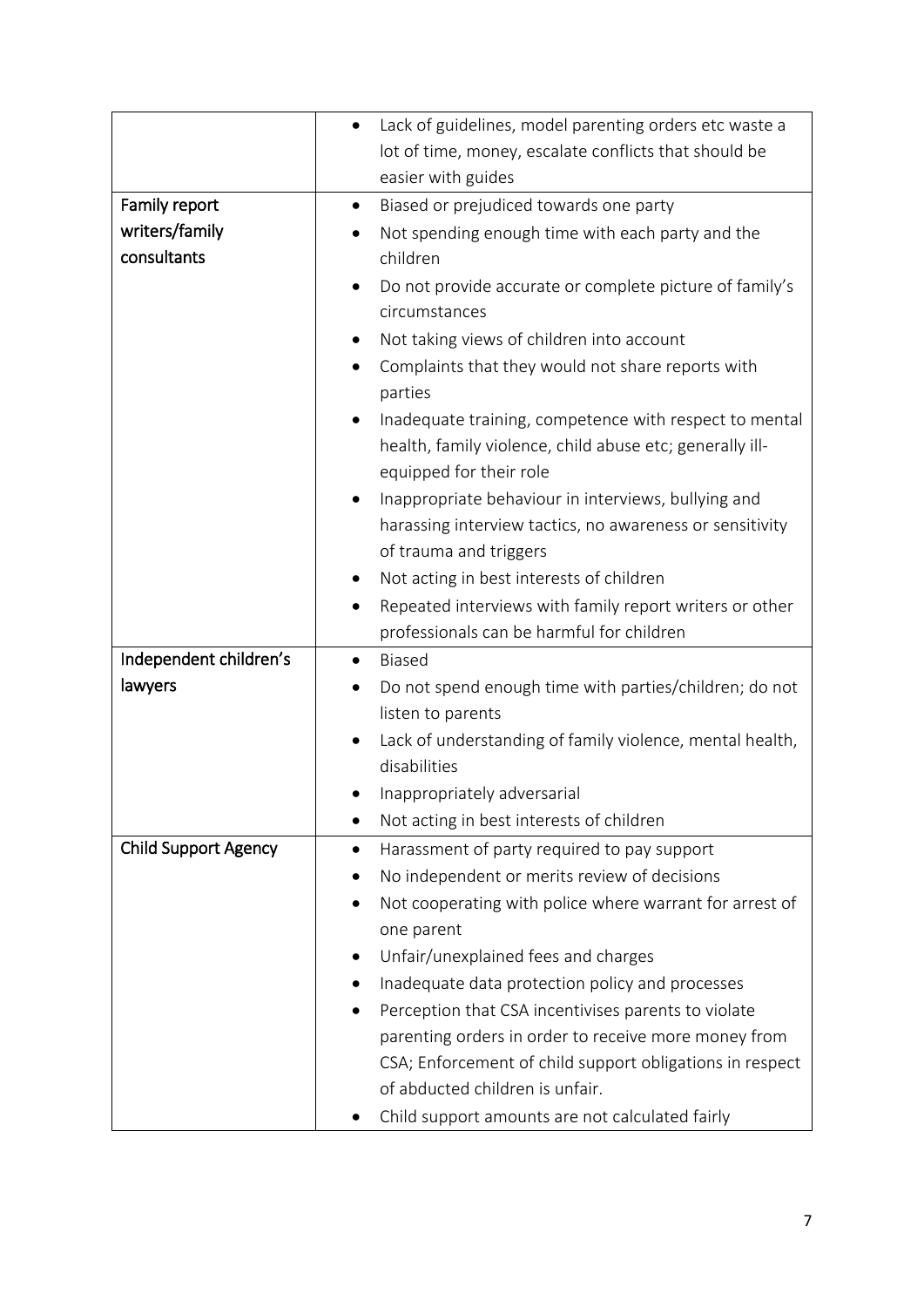|                             | Lack of guidelines, model parenting orders etc waste a                                                                  |
|-----------------------------|-------------------------------------------------------------------------------------------------------------------------|
|                             | lot of time, money, escalate conflicts that should be                                                                   |
|                             | easier with guides                                                                                                      |
| Family report               | Biased or prejudiced towards one party<br>٠                                                                             |
| writers/family              | Not spending enough time with each party and the                                                                        |
| consultants                 | children                                                                                                                |
|                             | Do not provide accurate or complete picture of family's<br>circumstances                                                |
|                             | Not taking views of children into account                                                                               |
|                             | Complaints that they would not share reports with<br>٠                                                                  |
|                             | parties                                                                                                                 |
|                             | Inadequate training, competence with respect to mental<br>٠<br>health, family violence, child abuse etc; generally ill- |
|                             | equipped for their role                                                                                                 |
|                             | Inappropriate behaviour in interviews, bullying and                                                                     |
|                             | harassing interview tactics, no awareness or sensitivity                                                                |
|                             | of trauma and triggers                                                                                                  |
|                             | Not acting in best interests of children                                                                                |
|                             | Repeated interviews with family report writers or other<br>٠                                                            |
|                             | professionals can be harmful for children                                                                               |
| Independent children's      | <b>Biased</b>                                                                                                           |
| lawyers                     | Do not spend enough time with parties/children; do not<br>listen to parents                                             |
|                             | Lack of understanding of family violence, mental health,<br>٠<br>disabilities                                           |
|                             | Inappropriately adversarial                                                                                             |
|                             | Not acting in best interests of children                                                                                |
| <b>Child Support Agency</b> | Harassment of party required to pay support<br>$\bullet$                                                                |
|                             | No independent or merits review of decisions                                                                            |
|                             | Not cooperating with police where warrant for arrest of                                                                 |
|                             | one parent                                                                                                              |
|                             | Unfair/unexplained fees and charges                                                                                     |
|                             | Inadequate data protection policy and processes                                                                         |
|                             | Perception that CSA incentivises parents to violate                                                                     |
|                             | parenting orders in order to receive more money from                                                                    |
|                             | CSA; Enforcement of child support obligations in respect                                                                |
|                             | of abducted children is unfair.                                                                                         |
|                             | Child support amounts are not calculated fairly                                                                         |